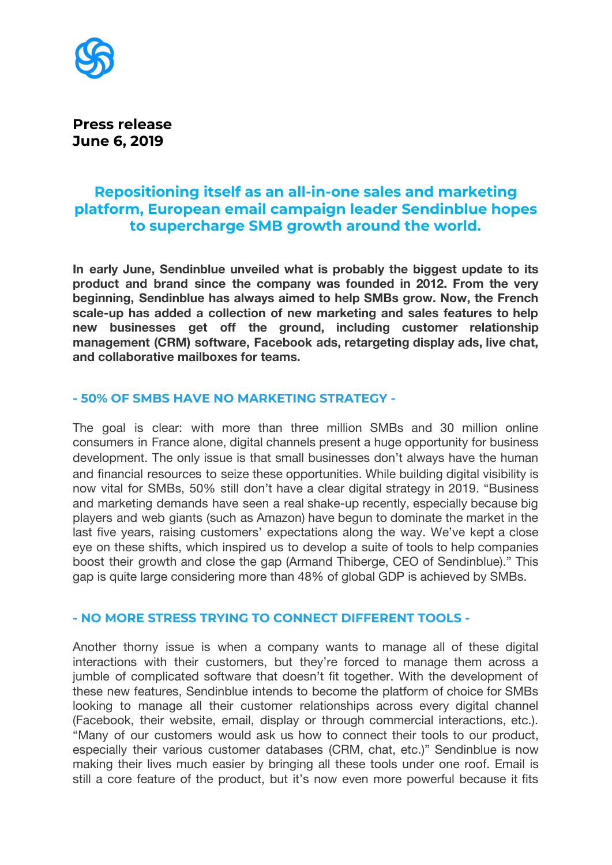

**Press release June 6, 2019**

# **Repositioning itself as an all-in-one sales and marketing platform, European email campaign leader Sendinblue hopes to supercharge SMB growth around the world.**

**In early June, Sendinblue unveiled what is probably the biggest update to its product and brand since the company was founded in 2012. From the very beginning, Sendinblue has always aimed to help SMBs grow. Now, the French scale-up has added a collection of new marketing and sales features to help new businesses get off the ground, including customer relationship management (CRM) software, Facebook ads, retargeting display ads, live chat, and collaborative mailboxes for teams.**

## **- 50% OF SMBS HAVE NO MARKETING STRATEGY -**

The goal is clear: with more than three million SMBs and 30 million online consumers in France alone, digital channels present a huge opportunity for business development. The only issue is that small businesses don't always have the human and financial resources to seize these opportunities. While building digital visibility is now vital for SMBs, 50% still don't have a clear digital strategy in 2019. "Business and marketing demands have seen a real shake-up recently, especially because big players and web giants (such as Amazon) have begun to dominate the market in the last five years, raising customers' expectations along the way. We've kept a close eye on these shifts, which inspired us to develop a suite of tools to help companies boost their growth and close the gap (Armand Thiberge, CEO of Sendinblue)." This gap is quite large considering more than 48% of global GDP is achieved by SMBs.

## **- NO MORE STRESS TRYING TO CONNECT DIFFERENT TOOLS -**

Another thorny issue is when a company wants to manage all of these digital interactions with their customers, but they're forced to manage them across a jumble of complicated software that doesn't fit together. With the development of these new features, Sendinblue intends to become the platform of choice for SMBs looking to manage all their customer relationships across every digital channel (Facebook, their website, email, display or through commercial interactions, etc.). "Many of our customers would ask us how to connect their tools to our product, especially their various customer databases (CRM, chat, etc.)" Sendinblue is now making their lives much easier by bringing all these tools under one roof. Email is still a core feature of the product, but it's now even more powerful because it fits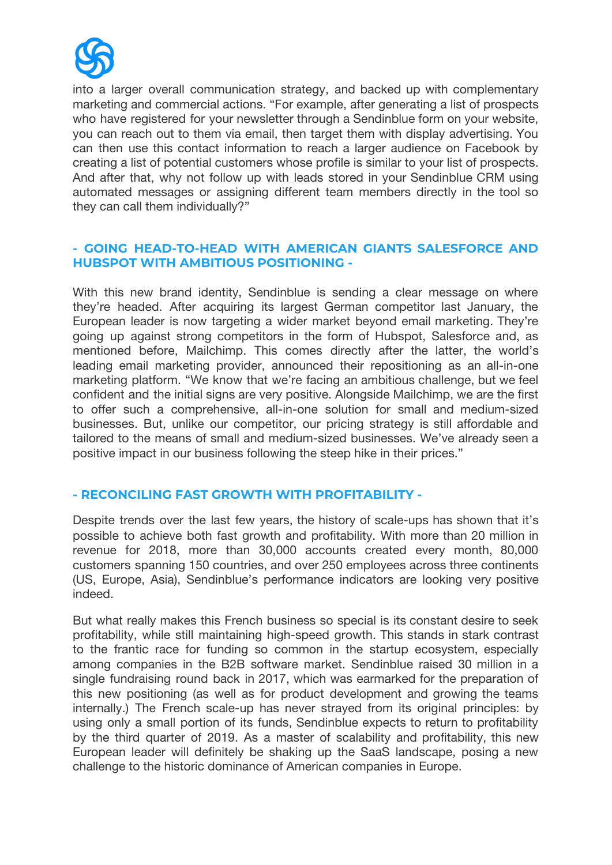

into a larger overall communication strategy, and backed up with complementary marketing and commercial actions. "For example, after generating a list of prospects who have registered for your newsletter through a Sendinblue form on your website, you can reach out to them via email, then target them with display advertising. You can then use this contact information to reach a larger audience on Facebook by creating a list of potential customers whose profile is similar to your list of prospects. And after that, why not follow up with leads stored in your Sendinblue CRM using automated messages or assigning different team members directly in the tool so they can call them individually?"

## **- GOING HEAD-TO-HEAD WITH AMERICAN GIANTS SALESFORCE AND HUBSPOT WITH AMBITIOUS POSITIONING -**

With this new brand identity, Sendinblue is sending a clear message on where they're headed. After acquiring its largest German competitor last January, the European leader is now targeting a wider market beyond email marketing. They're going up against strong competitors in the form of Hubspot, Salesforce and, as mentioned before, Mailchimp. This comes directly after the latter, the world's leading email marketing provider, announced their repositioning as an all-in-one marketing platform. "We know that we're facing an ambitious challenge, but we feel confident and the initial signs are very positive. Alongside Mailchimp, we are the first to offer such a comprehensive, all-in-one solution for small and medium-sized businesses. But, unlike our competitor, our pricing strategy is still affordable and tailored to the means of small and medium-sized businesses. We've already seen a positive impact in our business following the steep hike in their prices."

## **- RECONCILING FAST GROWTH WITH PROFITABILITY -**

Despite trends over the last few years, the history of scale-ups has shown that it's possible to achieve both fast growth and profitability. With more than 20 million in revenue for 2018, more than 30,000 accounts created every month, 80,000 customers spanning 150 countries, and over 250 employees across three continents (US, Europe, Asia), Sendinblue's performance indicators are looking very positive indeed.

But what really makes this French business so special is its constant desire to seek profitability, while still maintaining high-speed growth. This stands in stark contrast to the frantic race for funding so common in the startup ecosystem, especially among companies in the B2B software market. Sendinblue raised 30 million in a single fundraising round back in 2017, which was earmarked for the preparation of this new positioning (as well as for product development and growing the teams internally.) The French scale-up has never strayed from its original principles: by using only a small portion of its funds, Sendinblue expects to return to profitability by the third quarter of 2019. As a master of scalability and profitability, this new European leader will definitely be shaking up the SaaS landscape, posing a new challenge to the historic dominance of American companies in Europe.